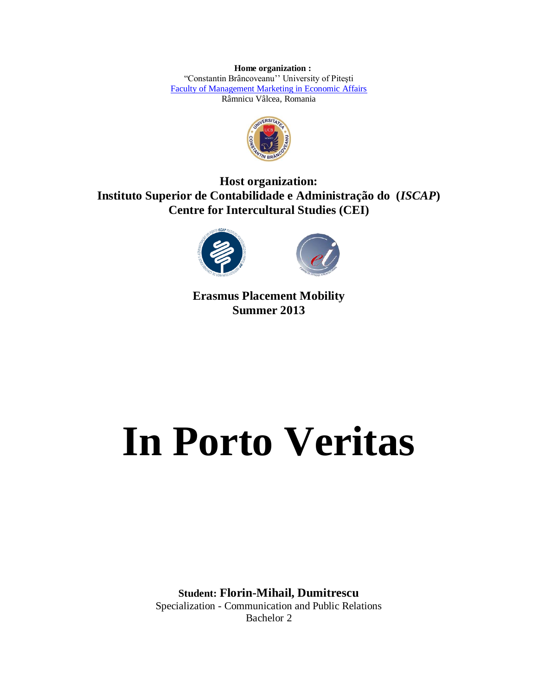**Home organization :** "Constantin Brâncoveanu'' University of Piteşti [Faculty of Management Marketing in Economic Affairs](http://www.univcb.ro/p-78-faculty.of.management.marketing.in.economic.affairs.html) Râmnicu Vâlcea, Romania



**Host organization: Instituto Superior de Contabilidade e Administração do (***ISCAP***) Centre for Intercultural Studies (CEI)**





**Erasmus Placement Mobility Summer 2013**

## **In Porto Veritas**

**Student: Florin-Mihail, Dumitrescu** Specialization - Communication and Public Relations Bachelor 2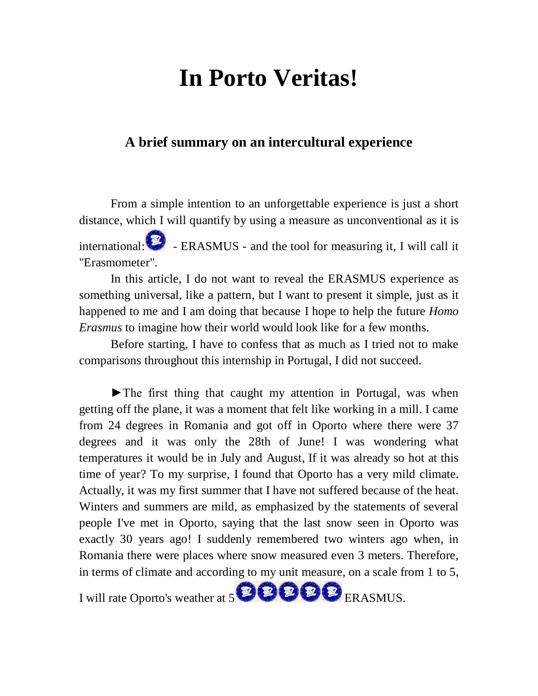## **In Porto Veritas!**

## **A brief summary on an intercultural experience**

From a simple intention to an unforgettable experience is just a short distance, which I will quantify by using a measure as unconventional as it is international:  $\bullet$  - ERASMUS - and the tool for measuring it, I will call it "Erasmometer".

In this article, I do not want to reveal the ERASMUS experience as something universal, like a pattern, but I want to present it simple, just as it happened to me and I am doing that because I hope to help the future *Homo Erasmus* to imagine how their world would look like for a few months.

Before starting, I have to confess that as much as I tried not to make comparisons throughout this internship in Portugal, I did not succeed.

►The first thing that caught my attention in Portugal, was when getting off the plane, it was a moment that felt like working in a mill. I came from 24 degrees in Romania and got off in Oporto where there were 37 degrees and it was only the 28th of June! I was wondering what temperatures it would be in July and August, If it was already so hot at this time of year? To my surprise, I found that Oporto has a very mild climate. Actually, it was my first summer that I have not suffered because of the heat. Winters and summers are mild, as emphasized by the statements of several people I've met in Oporto, saying that the last snow seen in Oporto was exactly 30 years ago! I suddenly remembered two winters ago when, in Romania there were places where snow measured even 3 meters. Therefore, in terms of climate and according to my unit measure, on a scale from 1 to 5,

I will rate Oporto's weather at 5 **BBBB** ERASMUS.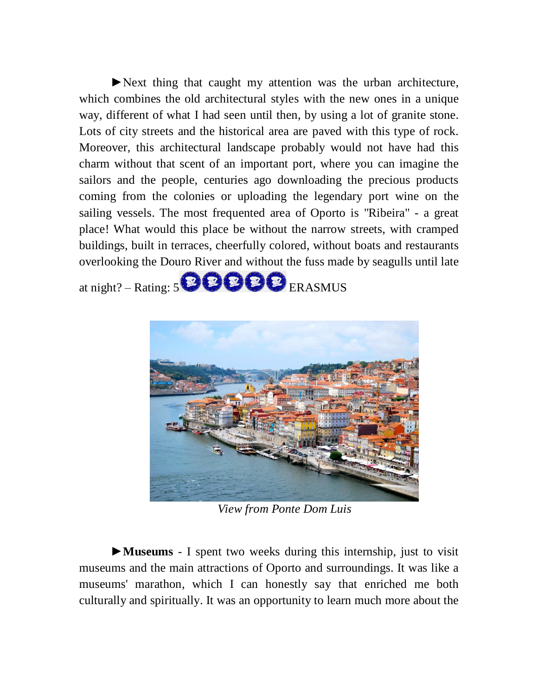►Next thing that caught my attention was the urban architecture, which combines the old architectural styles with the new ones in a unique way, different of what I had seen until then, by using a lot of granite stone. Lots of city streets and the historical area are paved with this type of rock. Moreover, this architectural landscape probably would not have had this charm without that scent of an important port, where you can imagine the sailors and the people, centuries ago downloading the precious products coming from the colonies or uploading the legendary port wine on the sailing vessels. The most frequented area of Oporto is "Ribeira" - a great place! What would this place be without the narrow streets, with cramped buildings, built in terraces, cheerfully colored, without boats and restaurants overlooking the Douro River and without the fuss made by seagulls until late

at night? – Rating: 5 **BBB** ERASMUS



*View from Ponte Dom Luis*

►**Museums** - I spent two weeks during this internship, just to visit museums and the main attractions of Oporto and surroundings. It was like a museums' marathon, which I can honestly say that enriched me both culturally and spiritually. It was an opportunity to learn much more about the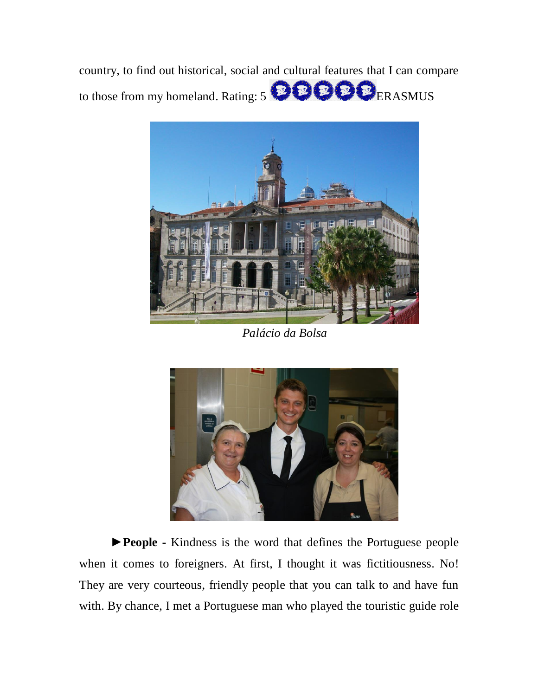country, to find out historical, social and cultural features that I can compare to those from my homeland. Rating: 5 **BBB**ERASMUS



*Palácio da Bolsa*



►**People -** Kindness is the word that defines the Portuguese people when it comes to foreigners. At first, I thought it was fictitiousness. No! They are very courteous, friendly people that you can talk to and have fun with. By chance, I met a Portuguese man who played the touristic guide role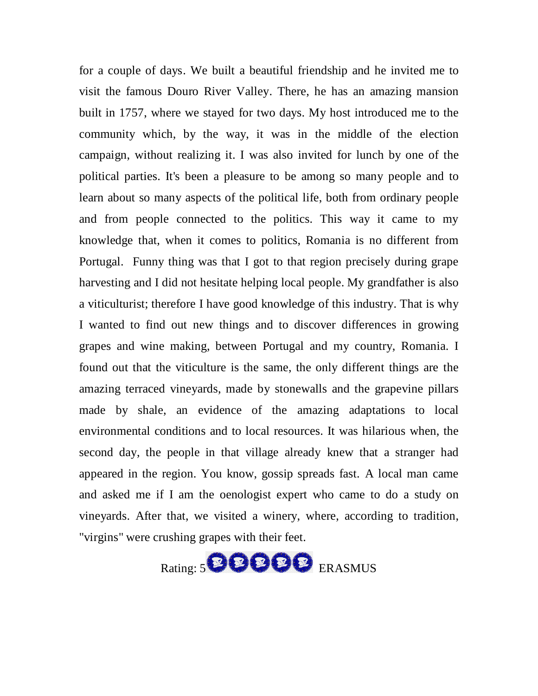for a couple of days. We built a beautiful friendship and he invited me to visit the famous Douro River Valley. There, he has an amazing mansion built in 1757, where we stayed for two days. My host introduced me to the community which, by the way, it was in the middle of the election campaign, without realizing it. I was also invited for lunch by one of the political parties. It's been a pleasure to be among so many people and to learn about so many aspects of the political life, both from ordinary people and from people connected to the politics. This way it came to my knowledge that, when it comes to politics, Romania is no different from Portugal. Funny thing was that I got to that region precisely during grape harvesting and I did not hesitate helping local people. My grandfather is also a viticulturist; therefore I have good knowledge of this industry. That is why I wanted to find out new things and to discover differences in growing grapes and wine making, between Portugal and my country, Romania. I found out that the viticulture is the same, the only different things are the amazing terraced vineyards, made by stonewalls and the grapevine pillars made by shale, an evidence of the amazing adaptations to local environmental conditions and to local resources. It was hilarious when, the second day, the people in that village already knew that a stranger had appeared in the region. You know, gossip spreads fast. A local man came and asked me if I am the oenologist expert who came to do a study on vineyards. After that, we visited a winery, where, according to tradition, "virgins" were crushing grapes with their feet.

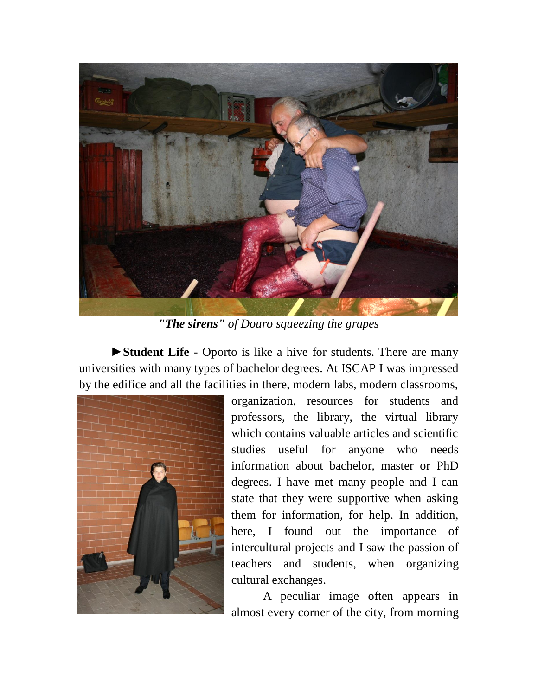

*"The sirens" of Douro squeezing the grapes*

►**Student Life** - Oporto is like a hive for students. There are many universities with many types of bachelor degrees. At ISCAP I was impressed by the edifice and all the facilities in there, modern labs, modern classrooms,



organization, resources for students and professors, the library, the virtual library which contains valuable articles and scientific studies useful for anyone who needs information about bachelor, master or PhD degrees. I have met many people and I can state that they were supportive when asking them for information, for help. In addition, here, I found out the importance of intercultural projects and I saw the passion of teachers and students, when organizing cultural exchanges.

A peculiar image often appears in almost every corner of the city, from morning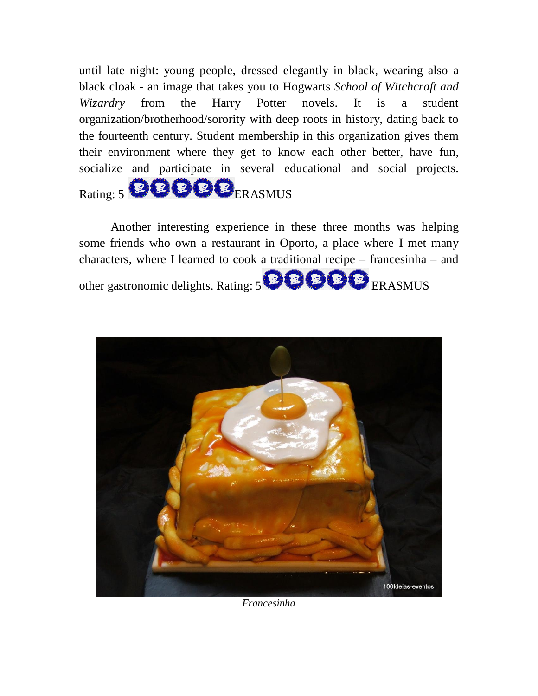until late night: young people, dressed elegantly in black, wearing also a black cloak - an image that takes you to Hogwarts *School of Witchcraft and Wizardry* from the Harry Potter novels. It is a student organization/brotherhood/sorority with deep roots in history, dating back to the fourteenth century. Student membership in this organization gives them their environment where they get to know each other better, have fun, socialize and participate in several educational and social projects. Rating: 5 8888 ERASMUS

Another interesting experience in these three months was helping some friends who own a restaurant in Oporto, a place where I met many characters, where I learned to cook a traditional recipe – francesinha – and other gastronomic delights. Rating: 5 **BBBB** ERASMUS



*Francesinha*